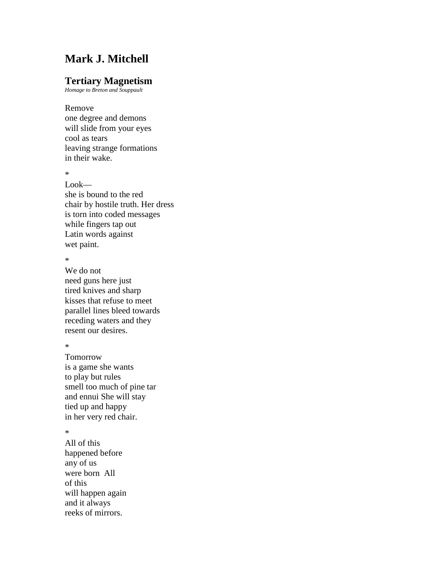## **Mark J. Mitchell**

## **Tertiary Magnetism**

*Homage to Breton and Souppault*

Remove one degree and demons will slide from your eyes cool as tears leaving strange formations in their wake.

\*

Look she is bound to the red chair by hostile truth. Her dress is torn into coded messages while fingers tap out Latin words against wet paint.

\*

We do not need guns here just tired knives and sharp kisses that refuse to meet parallel lines bleed towards receding waters and they resent our desires.

\*

Tomorrow is a game she wants to play but rules smell too much of pine tar and ennui She will stay tied up and happy in her very red chair.

\*

All of this happened before any of us were born All of this will happen again and it always reeks of mirrors.